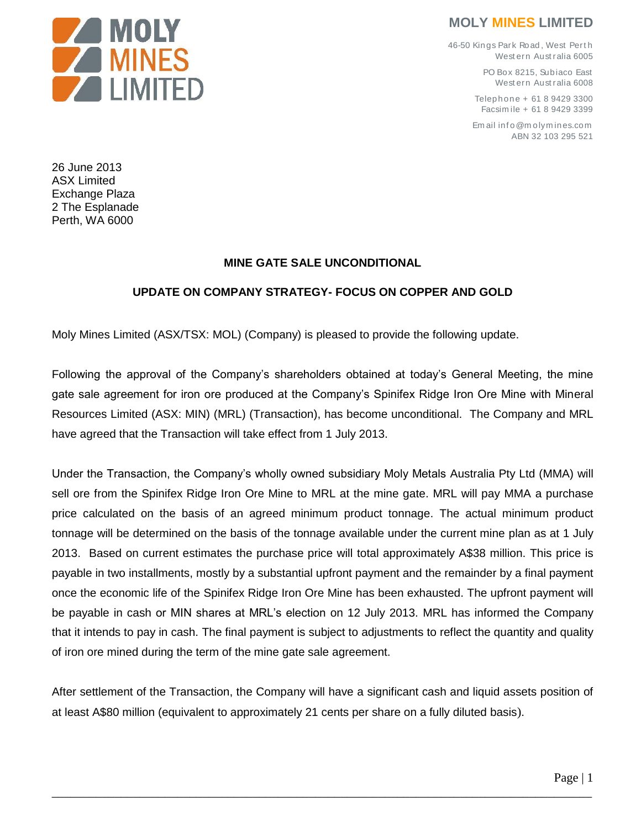

## **MOLY MINES LIMITED**

46-50 Kings Park Road , West Pert h West ern Aust ralia 6005

> PO Box 8215, Subjaco East West ern Aust ralia 6008

Telep hone + 61 8 9429 3300 Facsim ile + 61 8 9429 3399

Em ail info@molymines.com ABN 32 103 295 521

26 June 2013 ASX Limited Exchange Plaza 2 The Esplanade Perth, WA 6000

## **MINE GATE SALE UNCONDITIONAL**

## **UPDATE ON COMPANY STRATEGY- FOCUS ON COPPER AND GOLD**

Moly Mines Limited (ASX/TSX: MOL) (Company) is pleased to provide the following update.

Following the approval of the Company's shareholders obtained at today's General Meeting, the mine gate sale agreement for iron ore produced at the Company's Spinifex Ridge Iron Ore Mine with Mineral Resources Limited (ASX: MIN) (MRL) (Transaction), has become unconditional. The Company and MRL have agreed that the Transaction will take effect from 1 July 2013.

Under the Transaction, the Company's wholly owned subsidiary Moly Metals Australia Pty Ltd (MMA) will sell ore from the Spinifex Ridge Iron Ore Mine to MRL at the mine gate. MRL will pay MMA a purchase price calculated on the basis of an agreed minimum product tonnage. The actual minimum product tonnage will be determined on the basis of the tonnage available under the current mine plan as at 1 July 2013. Based on current estimates the purchase price will total approximately A\$38 million. This price is payable in two installments, mostly by a substantial upfront payment and the remainder by a final payment once the economic life of the Spinifex Ridge Iron Ore Mine has been exhausted. The upfront payment will be payable in cash or MIN shares at MRL's election on 12 July 2013. MRL has informed the Company that it intends to pay in cash. The final payment is subject to adjustments to reflect the quantity and quality of iron ore mined during the term of the mine gate sale agreement.

After settlement of the Transaction, the Company will have a significant cash and liquid assets position of at least A\$80 million (equivalent to approximately 21 cents per share on a fully diluted basis).

\_\_\_\_\_\_\_\_\_\_\_\_\_\_\_\_\_\_\_\_\_\_\_\_\_\_\_\_\_\_\_\_\_\_\_\_\_\_\_\_\_\_\_\_\_\_\_\_\_\_\_\_\_\_\_\_\_\_\_\_\_\_\_\_\_\_\_\_\_\_\_\_\_\_\_\_\_\_\_\_\_\_\_\_\_\_